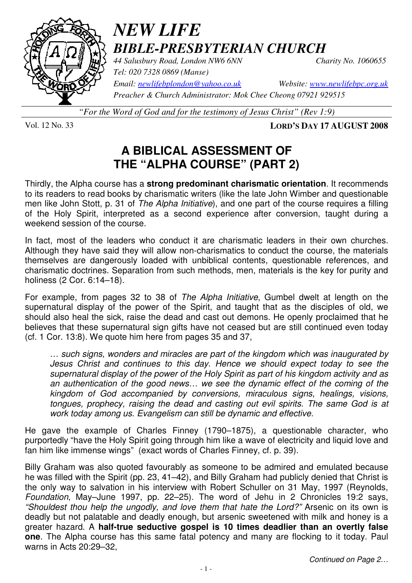

# *NEW LIFE BIBLE-PRESBYTERIAN CHURCH*

*44 Salusbury Road, London NW6 6NN Charity No. 1060655* 

*Tel: 020 7328 0869 (Manse)* 

*Email: newlifebplondon@yahoo.co.uk Website: www.newlifebpc.org.uk Preacher & Church Administrator: Mok Chee Cheong 07921 929515* 

*"For the Word of God and for the testimony of Jesus Christ" (Rev 1:9)*

Vol. 12 No. 33 **LORD'S DAY 17 AUGUST 2008**

## **A BIBLICAL ASSESSMENT OF THE "ALPHA COURSE" (PART 2)**

Thirdly, the Alpha course has a **strong predominant charismatic orientation**. It recommends to its readers to read books by charismatic writers (like the late John Wimber and questionable men like John Stott, p. 31 of The Alpha Initiative), and one part of the course requires a filling of the Holy Spirit, interpreted as a second experience after conversion, taught during a weekend session of the course.

In fact, most of the leaders who conduct it are charismatic leaders in their own churches. Although they have said they will allow non-charismatics to conduct the course, the materials themselves are dangerously loaded with unbiblical contents, questionable references, and charismatic doctrines. Separation from such methods, men, materials is the key for purity and holiness (2 Cor. 6:14–18).

For example, from pages 32 to 38 of The Alpha Initiative, Gumbel dwelt at length on the supernatural display of the power of the Spirit, and taught that as the disciples of old, we should also heal the sick, raise the dead and cast out demons. He openly proclaimed that he believes that these supernatural sign gifts have not ceased but are still continued even today (cf. 1 Cor. 13:8). We quote him here from pages 35 and 37,

… such signs, wonders and miracles are part of the kingdom which was inaugurated by Jesus Christ and continues to this day. Hence we should expect today to see the supernatural display of the power of the Holy Spirit as part of his kingdom activity and as an authentication of the good news… we see the dynamic effect of the coming of the kingdom of God accompanied by conversions, miraculous signs, healings, visions, tongues, prophecy, raising the dead and casting out evil spirits. The same God is at work today among us. Evangelism can still be dynamic and effective.

He gave the example of Charles Finney (1790–1875), a questionable character, who purportedly "have the Holy Spirit going through him like a wave of electricity and liquid love and fan him like immense wings" (exact words of Charles Finney, cf. p. 39).

Billy Graham was also quoted favourably as someone to be admired and emulated because he was filled with the Spirit (pp. 23, 41–42), and Billy Graham had publicly denied that Christ is the only way to salvation in his interview with Robert Schuller on 31 May, 1997 (Reynolds, Foundation, May–June 1997, pp. 22–25). The word of Jehu in 2 Chronicles 19:2 says, "Shouldest thou help the ungodly, and love them that hate the Lord?" Arsenic on its own is deadly but not palatable and deadly enough, but arsenic sweetened with milk and honey is a greater hazard. A **half-true seductive gospel is 10 times deadlier than an overtly false one**. The Alpha course has this same fatal potency and many are flocking to it today. Paul warns in Acts 20:29–32,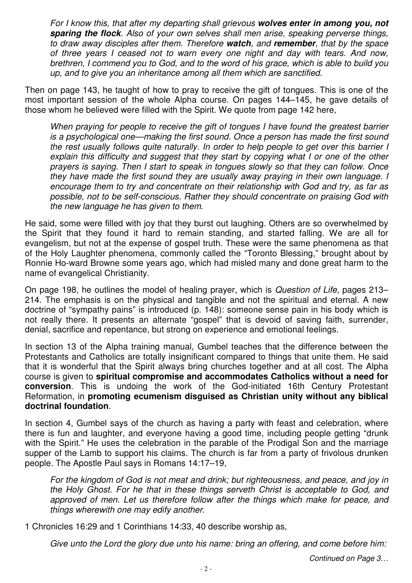For I know this, that after my departing shall grievous **wolves enter in among you, not sparing the flock**. Also of your own selves shall men arise, speaking perverse things, to draw away disciples after them. Therefore **watch**, and **remember**, that by the space of three years I ceased not to warn every one night and day with tears. And now, brethren, I commend you to God, and to the word of his grace, which is able to build you up, and to give you an inheritance among all them which are sanctified.

Then on page 143, he taught of how to pray to receive the gift of tongues. This is one of the most important session of the whole Alpha course. On pages 144–145, he gave details of those whom he believed were filled with the Spirit. We quote from page 142 here,

When praying for people to receive the gift of tongues I have found the greatest barrier is a psychological one—making the first sound. Once a person has made the first sound the rest usually follows quite naturally. In order to help people to get over this barrier I explain this difficulty and suggest that they start by copying what I or one of the other prayers is saying. Then I start to speak in tongues slowly so that they can follow. Once they have made the first sound they are usually away praying in their own language. I encourage them to try and concentrate on their relationship with God and try, as far as possible, not to be self-conscious. Rather they should concentrate on praising God with the new language he has given to them.

He said, some were filled with joy that they burst out laughing. Others are so overwhelmed by the Spirit that they found it hard to remain standing, and started falling. We are all for evangelism, but not at the expense of gospel truth. These were the same phenomena as that of the Holy Laughter phenomena, commonly called the "Toronto Blessing," brought about by Ronnie Ho-ward Browne some years ago, which had misled many and done great harm to the name of evangelical Christianity.

On page 198, he outlines the model of healing prayer, which is Question of Life, pages 213– 214. The emphasis is on the physical and tangible and not the spiritual and eternal. A new doctrine of "sympathy pains" is introduced (p. 148): someone sense pain in his body which is not really there. It presents an alternate "gospel" that is devoid of saving faith, surrender, denial, sacrifice and repentance, but strong on experience and emotional feelings.

In section 13 of the Alpha training manual, Gumbel teaches that the difference between the Protestants and Catholics are totally insignificant compared to things that unite them. He said that it is wonderful that the Spirit always bring churches together and at all cost. The Alpha course is given to **spiritual compromise and accommodates Catholics without a need for conversion**. This is undoing the work of the God-initiated 16th Century Protestant Reformation, in **promoting ecumenism disguised as Christian unity without any biblical doctrinal foundation**.

In section 4, Gumbel says of the church as having a party with feast and celebration, where there is fun and laughter, and everyone having a good time, including people getting "drunk with the Spirit." He uses the celebration in the parable of the Prodigal Son and the marriage supper of the Lamb to support his claims. The church is far from a party of frivolous drunken people. The Apostle Paul says in Romans 14:17–19,

For the kingdom of God is not meat and drink; but righteousness, and peace, and joy in the Holy Ghost. For he that in these things serveth Christ is acceptable to God, and approved of men. Let us therefore follow after the things which make for peace, and things wherewith one may edify another.

1 Chronicles 16:29 and 1 Corinthians 14:33, 40 describe worship as,

Give unto the Lord the glory due unto his name: bring an offering, and come before him: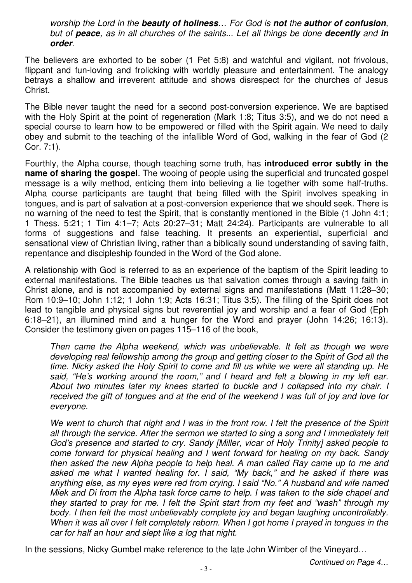worship the Lord in the **beauty of holiness**… For God is **not** the **author of confusion**, but of **peace**, as in all churches of the saints... Let all things be done **decently** and **in order**.

The believers are exhorted to be sober (1 Pet 5:8) and watchful and vigilant, not frivolous, flippant and fun-loving and frolicking with worldly pleasure and entertainment. The analogy betrays a shallow and irreverent attitude and shows disrespect for the churches of Jesus Christ.

The Bible never taught the need for a second post-conversion experience. We are baptised with the Holy Spirit at the point of regeneration (Mark 1:8; Titus 3:5), and we do not need a special course to learn how to be empowered or filled with the Spirit again. We need to daily obey and submit to the teaching of the infallible Word of God, walking in the fear of God (2 Cor. 7:1).

Fourthly, the Alpha course, though teaching some truth, has **introduced error subtly in the name of sharing the gospel**. The wooing of people using the superficial and truncated gospel message is a wily method, enticing them into believing a lie together with some half-truths. Alpha course participants are taught that being filled with the Spirit involves speaking in tongues, and is part of salvation at a post-conversion experience that we should seek. There is no warning of the need to test the Spirit, that is constantly mentioned in the Bible (1 John 4:1; 1 Thess. 5:21; 1 Tim 4:1–7; Acts 20:27–31; Matt 24:24). Participants are vulnerable to all forms of suggestions and false teaching. It presents an experiential, superficial and sensational view of Christian living, rather than a biblically sound understanding of saving faith, repentance and discipleship founded in the Word of the God alone.

A relationship with God is referred to as an experience of the baptism of the Spirit leading to external manifestations. The Bible teaches us that salvation comes through a saving faith in Christ alone, and is not accompanied by external signs and manifestations (Matt 11:28–30; Rom 10:9–10; John 1:12; 1 John 1:9; Acts 16:31; Titus 3:5). The filling of the Spirit does not lead to tangible and physical signs but reverential joy and worship and a fear of God (Eph 6:18–21), an illumined mind and a hunger for the Word and prayer (John 14:26; 16:13). Consider the testimony given on pages 115–116 of the book,

Then came the Alpha weekend, which was unbelievable. It felt as though we were developing real fellowship among the group and getting closer to the Spirit of God all the time. Nicky asked the Holy Spirit to come and fill us while we were all standing up. He said, "He's working around the room," and I heard and felt a blowing in my left ear. About two minutes later my knees started to buckle and I collapsed into my chair. I received the gift of tongues and at the end of the weekend I was full of joy and love for everyone.

We went to church that night and I was in the front row. I felt the presence of the Spirit all through the service. After the sermon we started to sing a song and I immediately felt God's presence and started to cry. Sandy [Miller, vicar of Holy Trinity] asked people to come forward for physical healing and I went forward for healing on my back. Sandy then asked the new Alpha people to help heal. A man called Ray came up to me and asked me what I wanted healing for. I said, "My back," and he asked if there was anything else, as my eyes were red from crying. I said "No." A husband and wife named Miek and Di from the Alpha task force came to help. I was taken to the side chapel and they started to pray for me. I felt the Spirit start from my feet and "wash" through my body. I then felt the most unbelievably complete joy and began laughing uncontrollably. When it was all over I felt completely reborn. When I got home I prayed in tongues in the car for half an hour and slept like a log that night.

In the sessions, Nicky Gumbel make reference to the late John Wimber of the Vineyard…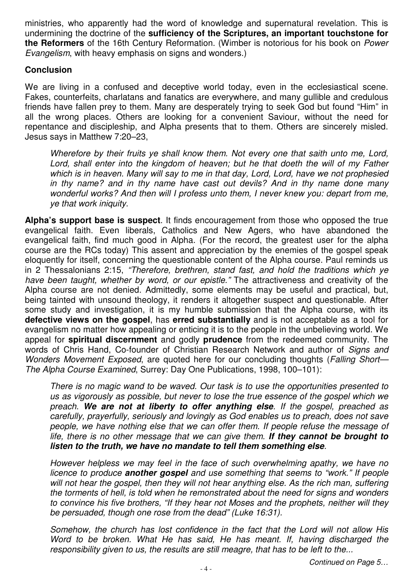ministries, who apparently had the word of knowledge and supernatural revelation. This is undermining the doctrine of the **sufficiency of the Scriptures, an important touchstone for the Reformers** of the 16th Century Reformation. (Wimber is notorious for his book on Power Evangelism, with heavy emphasis on signs and wonders.)

#### **Conclusion**

We are living in a confused and deceptive world today, even in the ecclesiastical scene. Fakes, counterfeits, charlatans and fanatics are everywhere, and many gullible and credulous friends have fallen prey to them. Many are desperately trying to seek God but found "Him" in all the wrong places. Others are looking for a convenient Saviour, without the need for repentance and discipleship, and Alpha presents that to them. Others are sincerely misled. Jesus says in Matthew 7:20–23,

Wherefore by their fruits ye shall know them. Not every one that saith unto me, Lord, Lord, shall enter into the kingdom of heaven; but he that doeth the will of my Father which is in heaven. Many will say to me in that day, Lord, Lord, have we not prophesied in thy name? and in thy name have cast out devils? And in thy name done many wonderful works? And then will I profess unto them, I never knew you: depart from me, ye that work iniquity.

**Alpha's support base is suspect**. It finds encouragement from those who opposed the true evangelical faith. Even liberals, Catholics and New Agers, who have abandoned the evangelical faith, find much good in Alpha. (For the record, the greatest user for the alpha course are the RCs today) This assent and appreciation by the enemies of the gospel speak eloquently for itself, concerning the questionable content of the Alpha course. Paul reminds us in 2 Thessalonians 2:15, "Therefore, brethren, stand fast, and hold the traditions which ye have been taught, whether by word, or our epistle." The attractiveness and creativity of the Alpha course are not denied. Admittedly, some elements may be useful and practical, but, being tainted with unsound theology, it renders it altogether suspect and questionable. After some study and investigation, it is my humble submission that the Alpha course, with its **defective views on the gospel**, has **erred substantially** and is not acceptable as a tool for evangelism no matter how appealing or enticing it is to the people in the unbelieving world. We appeal for **spiritual discernment** and godly **prudence** from the redeemed community. The words of Chris Hand, Co-founder of Christian Research Network and author of Signs and Wonders Movement Exposed, are quoted here for our concluding thoughts (Falling Short-The Alpha Course Examined, Surrey: Day One Publications, 1998, 100–101):

There is no magic wand to be waved. Our task is to use the opportunities presented to us as vigorously as possible, but never to lose the true essence of the gospel which we preach. **We are not at liberty to offer anything else**. If the gospel, preached as carefully, prayerfully, seriously and lovingly as God enables us to preach, does not save people, we have nothing else that we can offer them. If people refuse the message of life, there is no other message that we can give them. **If they cannot be brought to listen to the truth, we have no mandate to tell them something else**.

However helpless we may feel in the face of such overwhelming apathy, we have no licence to produce **another gospel** and use something that seems to "work." If people will not hear the gospel, then they will not hear anything else. As the rich man, suffering the torments of hell, is told when he remonstrated about the need for signs and wonders to convince his five brothers, "If they hear not Moses and the prophets, neither will they be persuaded, though one rose from the dead" (Luke 16:31).

Somehow, the church has lost confidence in the fact that the Lord will not allow His Word to be broken. What He has said, He has meant. If, having discharged the responsibility given to us, the results are still meagre, that has to be left to the...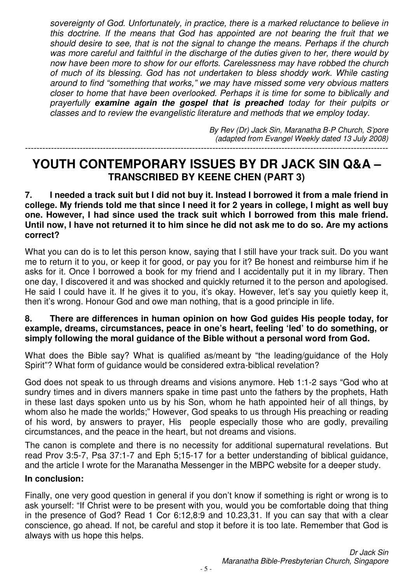sovereignty of God. Unfortunately, in practice, there is a marked reluctance to believe in this doctrine. If the means that God has appointed are not bearing the fruit that we should desire to see, that is not the signal to change the means. Perhaps if the church was more careful and faithful in the discharge of the duties given to her, there would by now have been more to show for our efforts. Carelessness may have robbed the church of much of its blessing. God has not undertaken to bless shoddy work. While casting around to find "something that works," we may have missed some very obvious matters closer to home that have been overlooked. Perhaps it is time for some to biblically and prayerfully **examine again the gospel that is preached** today for their pulpits or classes and to review the evangelistic literature and methods that we employ today.

By Rev (Dr) Jack Sin, Maranatha B-P Church, S'pore (adapted from Evangel Weekly dated 13 July 2008) ------------------------------------------------------------------------------------------------------------------------------

### **YOUTH CONTEMPORARY ISSUES BY DR JACK SIN Q&A – TRANSCRIBED BY KEENE CHEN (PART 3)**

**7. I needed a track suit but I did not buy it. Instead I borrowed it from a male friend in college. My friends told me that since I need it for 2 years in college, I might as well buy one. However, I had since used the track suit which I borrowed from this male friend. Until now, I have not returned it to him since he did not ask me to do so. Are my actions correct?** 

What you can do is to let this person know, saying that I still have your track suit. Do you want me to return it to you, or keep it for good, or pay you for it? Be honest and reimburse him if he asks for it. Once I borrowed a book for my friend and I accidentally put it in my library. Then one day, I discovered it and was shocked and quickly returned it to the person and apologised. He said I could have it. If he gives it to you, it's okay. However, let's say you quietly keep it, then it's wrong. Honour God and owe man nothing, that is a good principle in life.

#### **8. There are differences in human opinion on how God guides His people today, for example, dreams, circumstances, peace in one's heart, feeling 'led' to do something, or simply following the moral guidance of the Bible without a personal word from God.**

What does the Bible say? What is qualified as/meant by "the leading/guidance of the Holy Spirit"? What form of guidance would be considered extra-biblical revelation?

God does not speak to us through dreams and visions anymore. Heb 1:1-2 says "God who at sundry times and in divers manners spake in time past unto the fathers by the prophets, Hath in these last days spoken unto us by his Son, whom he hath appointed heir of all things, by whom also he made the worlds;" However, God speaks to us through His preaching or reading of his word, by answers to prayer, His people especially those who are godly, prevailing circumstances, and the peace in the heart, but not dreams and visions.

The canon is complete and there is no necessity for additional supernatural revelations. But read Prov 3:5-7, Psa 37:1-7 and Eph 5;15-17 for a better understanding of biblical guidance, and the article I wrote for the Maranatha Messenger in the MBPC website for a deeper study.

#### **In conclusion:**

Finally, one very good question in general if you don't know if something is right or wrong is to ask yourself: "If Christ were to be present with you, would you be comfortable doing that thing in the presence of God? Read 1 Cor 6:12,8:9 and 10.23,31. If you can say that with a clear conscience, go ahead. If not, be careful and stop it before it is too late. Remember that God is always with us hope this helps.